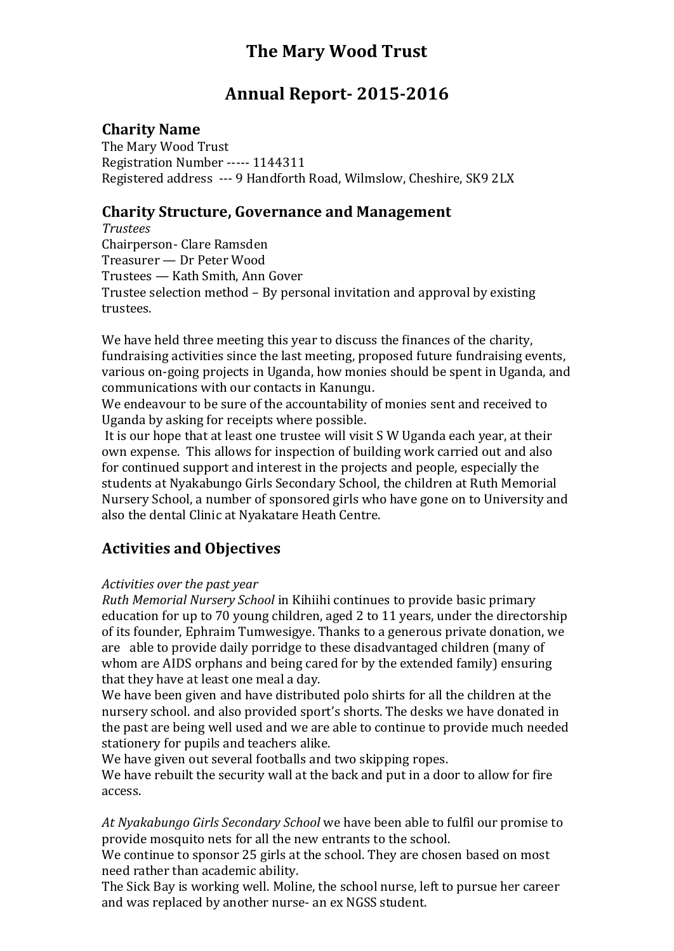# **The Mary Wood Trust**

# **Annual Report- 2015-2016**

### **Charity Name**

The Mary Wood Trust Registration Number ----- 1144311 Registered address --- 9 Handforth Road, Wilmslow, Cheshire, SK9 2LX

### **Charity Structure, Governance and Management**

*Trustees* Chairperson- Clare Ramsden Treasurer — Dr Peter Wood Trustees — Kath Smith, Ann Gover Trustee selection method – By personal invitation and approval by existing trustees.

We have held three meeting this year to discuss the finances of the charity, fundraising activities since the last meeting, proposed future fundraising events, various on-going projects in Uganda, how monies should be spent in Uganda, and communications with our contacts in Kanungu.

We endeavour to be sure of the accountability of monies sent and received to Uganda by asking for receipts where possible.

It is our hope that at least one trustee will visit S W Uganda each year, at their own expense. This allows for inspection of building work carried out and also for continued support and interest in the projects and people, especially the students at Nyakabungo Girls Secondary School, the children at Ruth Memorial Nursery School, a number of sponsored girls who have gone on to University and also the dental Clinic at Nyakatare Heath Centre.

# **Activities and Objectives**

### *Activities over the past year*

*Ruth Memorial Nursery School* in Kihiihi continues to provide basic primary education for up to 70 young children, aged 2 to 11 years, under the directorship of its founder, Ephraim Tumwesigye. Thanks to a generous private donation, we are able to provide daily porridge to these disadvantaged children (many of whom are AIDS orphans and being cared for by the extended family) ensuring that they have at least one meal a day.

We have been given and have distributed polo shirts for all the children at the nursery school. and also provided sport's shorts. The desks we have donated in the past are being well used and we are able to continue to provide much needed stationery for pupils and teachers alike.

We have given out several footballs and two skipping ropes.

We have rebuilt the security wall at the back and put in a door to allow for fire access.

*At Nyakabungo Girls Secondary School* we have been able to fulfil our promise to provide mosquito nets for all the new entrants to the school.

We continue to sponsor 25 girls at the school. They are chosen based on most need rather than academic ability.

The Sick Bay is working well. Moline, the school nurse, left to pursue her career and was replaced by another nurse- an ex NGSS student.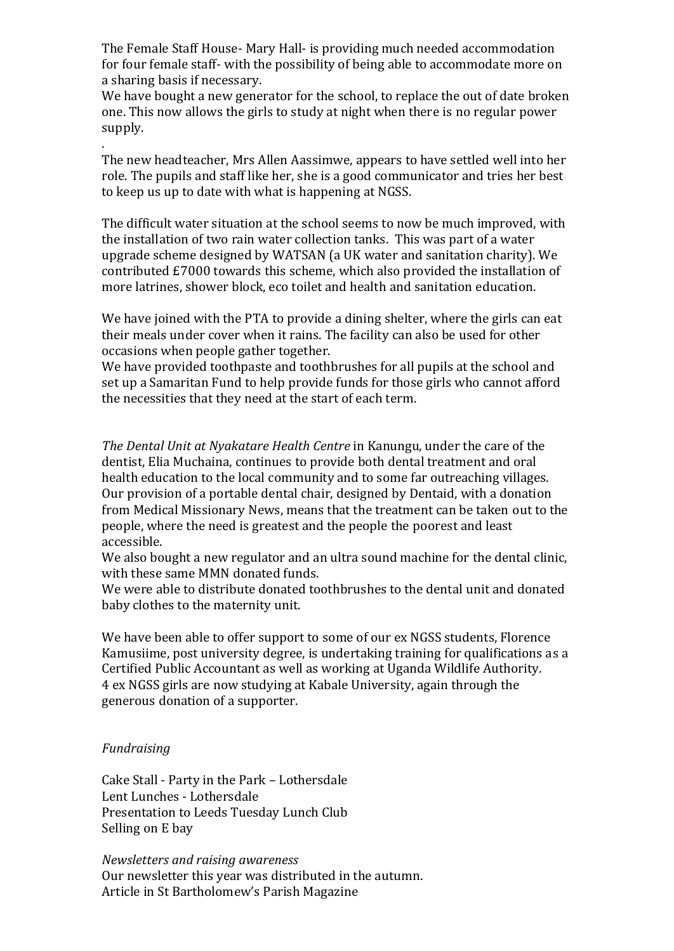The Female Staff House- Mary Hall- is providing much needed accommodation for four female staff- with the possibility of being able to accommodate more on a sharing basis if necessary.

We have bought a new generator for the school, to replace the out of date broken one. This now allows the girls to study at night when there is no regular power supply.

The new headteacher, Mrs Allen Aassimwe, appears to have settled well into her role. The pupils and staff like her, she is a good communicator and tries her best to keep us up to date with what is happening at NGSS.

The difficult water situation at the school seems to now be much improved, with the installation of two rain water collection tanks. This was part of a water upgrade scheme designed by WATSAN (a UK water and sanitation charity). We contributed £7000 towards this scheme, which also provided the installation of more latrines, shower block, eco toilet and health and sanitation education.

We have joined with the PTA to provide a dining shelter, where the girls can eat their meals under cover when it rains. The facility can also be used for other occasions when people gather together.

We have provided toothpaste and toothbrushes for all pupils at the school and set up a Samaritan Fund to help provide funds for those girls who cannot afford the necessities that they need at the start of each term.

*The Dental Unit at Nyakatare Health Centre* in Kanungu, under the care of the dentist, Elia Muchaina, continues to provide both dental treatment and oral health education to the local community and to some far outreaching villages. Our provision of a portable dental chair, designed by Dentaid, with a donation from Medical Missionary News, means that the treatment can be taken out to the people, where the need is greatest and the people the poorest and least accessible.

We also bought a new regulator and an ultra sound machine for the dental clinic, with these same MMN donated funds.

We were able to distribute donated toothbrushes to the dental unit and donated baby clothes to the maternity unit.

We have been able to offer support to some of our ex NGSS students, Florence Kamusiime, post university degree, is undertaking training for qualifications as a Certified Public Accountant as well as working at Uganda Wildlife Authority. 4 ex NGSS girls are now studying at Kabale University, again through the generous donation of a supporter.

#### *Fundraising*

.

Cake Stall - Party in the Park – Lothersdale Lent Lunches - Lothersdale Presentation to Leeds Tuesday Lunch Club Selling on E bay

*Newsletters and raising awareness* Our newsletter this year was distributed in the autumn. Article in St Bartholomew's Parish Magazine